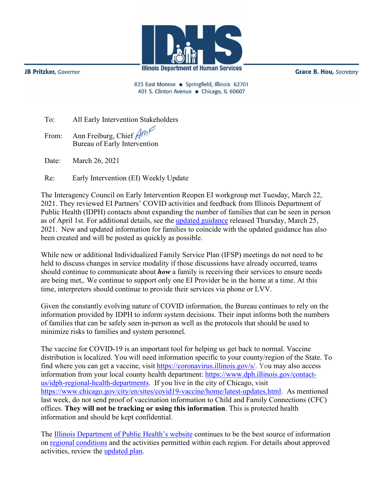

**JB Pritzker**, Governor

**Grace B. Hou, Secretary** 

823 East Monroe · Springfield, Illinois 62701 401 S. Clinton Avenue · Chicago, IL 60607

| To: |  |  | All Early Intervention Stakeholders |
|-----|--|--|-------------------------------------|
|-----|--|--|-------------------------------------|

From: Ann Freiburg, Chief Amp Bureau of Early Intervention

Date: March 26, 2021

Re: Early Intervention (EI) Weekly Update

The Interagency Council on Early Intervention Reopen EI workgroup met Tuesday, March 22, 2021. They reviewed EI Partners' COVID activities and feedback from Illinois Department of Public Health (IDPH) contacts about expanding the number of families that can be seen in person as of April 1st. For additional details, see the [updated guidance](http://www.wiu.edu/coehs/provider_connections/pdf/20210325%20Revised%20EI%20Plan%20for%20Resuming%20In-Person%20Services%20-%20Final.pdf) released Thursday, March 25, 2021. New and updated information for families to coincide with the updated guidance has also been created and will be posted as quickly as possible.

While new or additional Individualized Family Service Plan (IFSP) meetings do not need to be held to discuss changes in service modality if those discussions have already occurred, teams should continue to communicate about *how* a family is receiving their services to ensure needs are being met,. We continue to support only one EI Provider be in the home at a time. At this time, interpreters should continue to provide their services via phone or LVV.

Given the constantly evolving nature of COVID information, the Bureau continues to rely on the information provided by IDPH to inform system decisions. Their input informs both the numbers of families that can be safely seen in-person as well as the protocols that should be used to minimize risks to families and system personnel.

The vaccine for COVID-19 is an important tool for helping us get back to normal. Vaccine distribution is localized. You will need information specific to your county/region of the State. To find where you can get a vaccine, visit [https://coronavirus.illinois.gov/s/.](https://coronavirus.illinois.gov/s/) You may also access information from your local county health department: [https://www.dph.illinois.gov/contact](https://www.dph.illinois.gov/contact-us/idph-regional-health-departments)[us/idph-regional-health-departments.](https://www.dph.illinois.gov/contact-us/idph-regional-health-departments) If you live in the city of Chicago, visit [https://www.chicago.gov/city/en/sites/covid19-vaccine/home/latest-updates.html.](https://www.chicago.gov/city/en/sites/covid19-vaccine/home/latest-updates.html) As mentioned last week, do not send proof of vaccination information to Child and Family Connections (CFC) offices. **They will not be tracking or using this information**. This is protected health information and should be kept confidential.

The [Illinois Department of Public Health's website](https://www.dph.illinois.gov/covid19) continues to be the best source of information on [regional conditions](https://www.dph.illinois.gov/regionmetrics?regionID=1) and the activities permitted within each region. For details about approved activities, review the [updated plan.](https://www2.illinois.gov/IISNews/22653-Illinois_Resurgence_Mitigation_Plan_-_January_15_2021_Update.pdf)